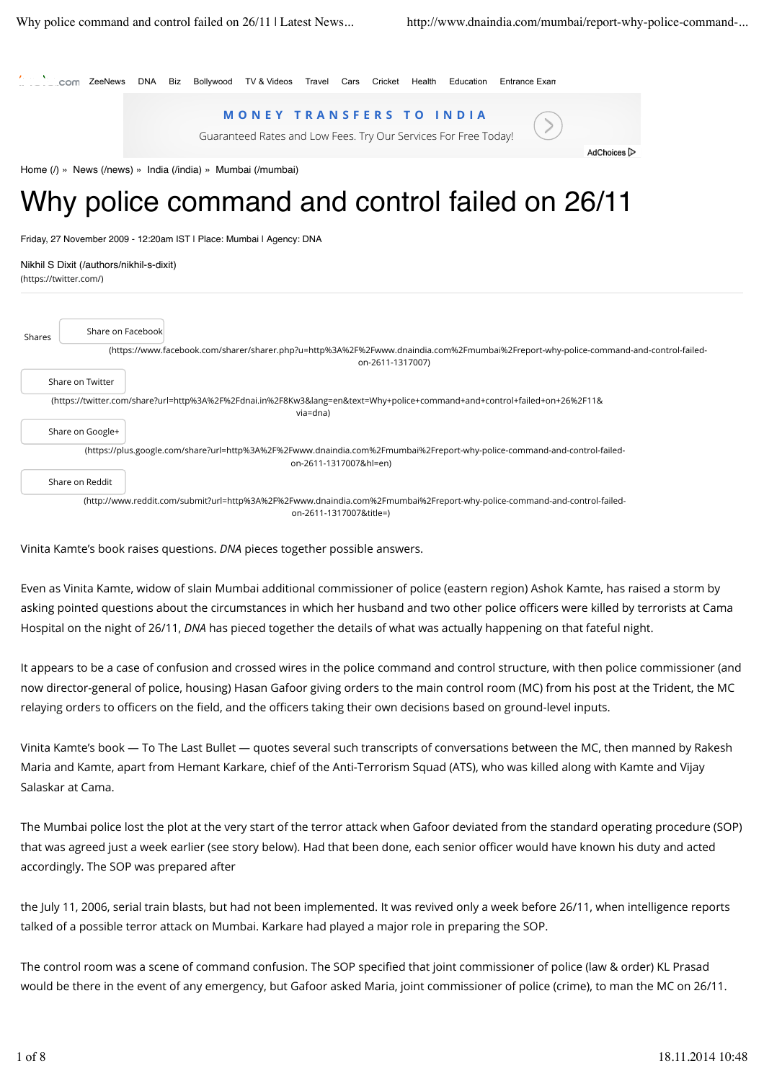

## Why police command and control failed on 26/11

Friday, 27 November 2009 - 12:20am IST | Place: Mumbai | Agency: DNA

(https://twitter.com/) Nikhil S Dixit (/authors/nikhil-s-dixit)

| Shares                                                                                                                                              | Share on Facebook |                                                                                                                                                          |  |  |
|-----------------------------------------------------------------------------------------------------------------------------------------------------|-------------------|----------------------------------------------------------------------------------------------------------------------------------------------------------|--|--|
|                                                                                                                                                     |                   | (https://www.facebook.com/sharer/sharer.php?u=http%3A%2F%2Fwww.dnaindia.com%2Fmumbai%2Freport-why-police-command-and-control-failed-<br>on-2611-1317007) |  |  |
|                                                                                                                                                     | Share on Twitter  |                                                                                                                                                          |  |  |
| (https://twitter.com/share?url=http%3A%2F%2Fdnai.in%2F8Kw3⟨=en&text=Why+police+command+and+control+failed+on+26%2F11&<br>via=dna)                   |                   |                                                                                                                                                          |  |  |
|                                                                                                                                                     | Share on Google+  |                                                                                                                                                          |  |  |
|                                                                                                                                                     |                   | (https://plus.google.com/share?url=http%3A%2F%2Fwww.dnaindia.com%2Fmumbai%2Freport-why-police-command-and-control-failed-<br>on-2611-1317007&hl=en)      |  |  |
|                                                                                                                                                     | Share on Reddit   |                                                                                                                                                          |  |  |
| (http://www.reddit.com/submit?url=http%3A%2F%2Fwww.dnaindia.com%2Fmumbai%2Freport-why-police-command-and-control-failed-<br>on-2611-1317007&title=) |                   |                                                                                                                                                          |  |  |

Vinita Kamte's book raises questions. *DNA* pieces together possible answers.

Even as Vinita Kamte, widow of slain Mumbai additional commissioner of police (eastern region) Ashok Kamte, has raised a storm by asking pointed questions about the circumstances in which her husband and two other police officers were killed by terrorists at Cama Hospital on the night of 26/11, *DNA* has pieced together the details of what was actually happening on that fateful night.

It appears to be a case of confusion and crossed wires in the police command and control structure, with then police commissioner (and now director-general of police, housing) Hasan Gafoor giving orders to the main control room (MC) from his post at the Trident, the MC relaying orders to officers on the field, and the officers taking their own decisions based on ground-level inputs.

Vinita Kamte's book — To The Last Bullet — quotes several such transcripts of conversations between the MC, then manned by Rakesh Maria and Kamte, apart from Hemant Karkare, chief of the Anti-Terrorism Squad (ATS), who was killed along with Kamte and Vijay Salaskar at Cama.

The Mumbai police lost the plot at the very start of the terror attack when Gafoor deviated from the standard operating procedure (SOP) that was agreed just a week earlier (see story below). Had that been done, each senior officer would have known his duty and acted accordingly. The SOP was prepared after

the July 11, 2006, serial train blasts, but had not been implemented. It was revived only a week before 26/11, when intelligence reports talked of a possible terror attack on Mumbai. Karkare had played a major role in preparing the SOP.

The control room was a scene of command confusion. The SOP specified that joint commissioner of police (law & order) KL Prasad would be there in the event of any emergency, but Gafoor asked Maria, joint commissioner of police (crime), to man the MC on 26/11.